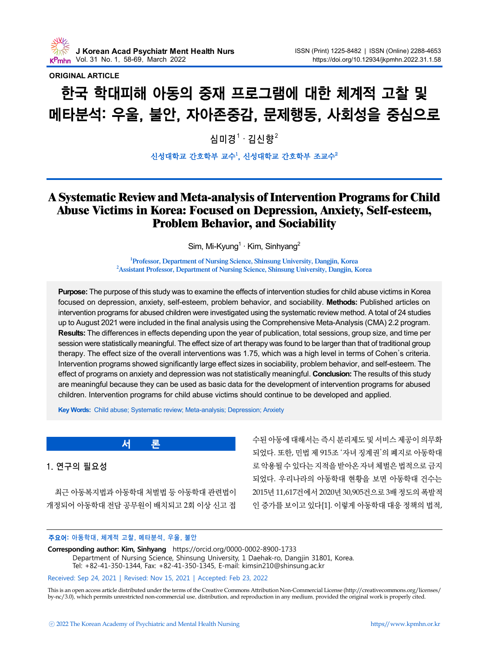

### **ORIGINAL ARTICLE**

# 한국 학대피해 아동의 중재 프로그램에 대한 체계적 고찰 및 메타분석: 우울, 불안, 자아존중감, 문제행동, 사회성을 중심으로

심미경 $^1\cdot$  김신향 $^2$ 

#### 신성대학교 간호학부 교수<sup>1</sup>, 신성대학교 간호학부 조교수<sup>2</sup>

## A Systematic Review and Meta-analysis of Intervention Programs for Child Abuse Victims in Korea: Focused on Depression, Anxiety, Self-esteem, Problem Behavior, and Sociability

Sim, Mi-Kyung<sup>1</sup>  $\cdot$  Kim, Sinhyang<sup>2</sup>

<sup>1</sup>Professor, Department of Nursing Science, Shinsung University, Dangjin, Korea <sup>2</sup> Assistant Professor, Department of Nursing Science, Shinsung University, Dangjin, Korea

**Purpose:** The purpose of this study was to examine the effects of intervention studies for child abuse victims in Korea focused on depression, anxiety, self-esteem, problem behavior, and sociability. **Methods:** Published articles on intervention programs for abused children were investigated using the systematic review method. A total of 24 studies up to August 2021 were included in the final analysis using the Comprehensive Meta-Analysis (CMA) 2.2 program. **Results:** The differences in effects depending upon the year of publication, total sessions, group size, and time per session were statistically meaningful. The effect size of art therapy was found to be larger than that of traditional group therapy. The effect size of the overall interventions was 1.75, which was a high level in terms of Cohen's criteria. Intervention programs showed significantly large effect sizes in sociability, problem behavior, and self-esteem. The effect of programs on anxiety and depression was not statistically meaningful. **Conclusion:** The results of this study are meaningful because they can be used as basic data for the development of intervention programs for abused children. Intervention programs for child abuse victims should continue to be developed and applied.

**Key Words:** Child abuse; Systematic review; Meta-analysis; Depression; Anxiety

1. 연구의 필요성

최근 아동복지법과 아동학대 처벌법 등 아동학대 관련법이 개정되어 아동학대 전담 공무원이 배치되고 2회 이상 신고 접

수된 아동에 대해서는 즉시 분리제도 및 서비스 제공이 의무화 되었다. 또한, 민법 제 915조 '자녀 징계권'의 폐지로 아동학대 로 악용될 수 있다는 지적을 받아온 자녀 체벌은 법적으로 금지 되었다. 우리나라의 아동학대 현황을 보면 아동학대 건수는 2015년 11,617건에서 2020년 30,905건으로 3배 정도의 폭발적 인 증가를 보이고 있다[1]. 이렇게 아동학대 대응 정책의 법적,

#### 주요어: 아동학대, 체계적 고찰, 메타분석, 우울, 불안

**서 론**

**Corresponding author: Kim, Sinhyang** https://orcid.org/0000-0002-8900-1733 Department of Nursing Science, Shinsung University, 1 Daehak-ro, Dangjin 31801, Korea. Tel: +82-41-350-1344, Fax: +82-41-350-1345, E-mail: kimsin210@shinsung.ac.kr

#### Received: Sep 24, 2021 | Revised: Nov 15, 2021 | Accepted: Feb 23, 2022

This is an open access article distributed under the terms of the Creative Commons Attribution Non-Commercial License (http://creativecommons.org/licenses/ by-nc/3.0), which permits unrestricted non-commercial use, distribution, and reproduction in any medium, provided the original work is properly cited.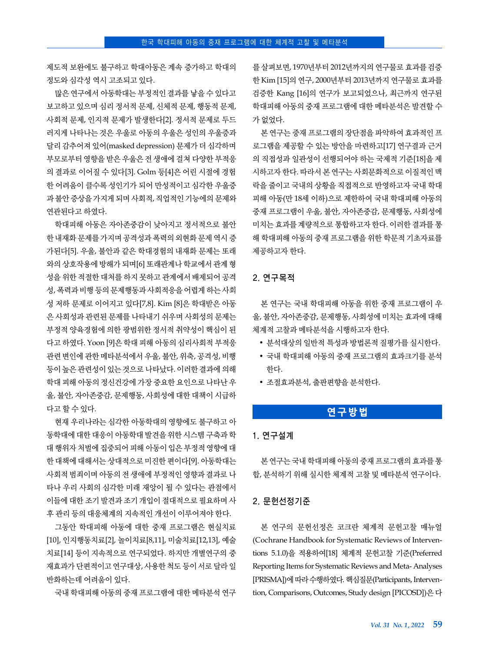제도적 보완에도 불구하고 학대아동은 계속 증가하고 학대의 정도와 심각성 역시 고조되고 있다.

많은 연구에서 아동학대는 부정적인 결과를 낳을 수 있다고 보고하고 있으며 심리 정서적 문제, 신체적 문제, 행동적 문제, 사회적 문제, 인지적 문제가 발생한다[2]. 정서적 문제로 두드 러지게 나타나는 것은 우울로 아동의 우울은 성인의 우울증과 달리 감추어져 있어(masked depression) 문제가 더 심각하며 부모로부터 영향을 받은 우울은 전 생애에 걸쳐 다양한 부적응 의 결과로 이어질 수 있다[3]. Golm 등[4]은 어린 시절에 경험 한 어려움이 클수록 성인기가 되어 만성적이고 심각한 우울증 과 불안 증상을 가지게 되며 사회적, 직업적인 기능에의 문제와 연관된다고 하였다.

학대피해 아동은 자아존중감이 낮아지고 정서적으로 불안 한 내재화 문제를 가지며 공격성과 폭력의 외현화 문제 역시 증 가된다[5]. 우울, 불안과 같은 학대경험의 내재화 문제는 또래 와의 상호작용에 방해가 되며[6] 또래관계나 학교에서 관계 형 성을 위한 적절한 대처를 하지 못하고 관계에서 배제되어 공격 성, 폭력과 비행 등의 문제행동과 사회적응을 어렵게 하는 사회 성 저하 문제로 이어지고 있다[7,8]. Kim [8]은 학대받은 아동 은 사회성과 관련된 문제를 나타내기 쉬우며 사회성의 문제는 부정적 양육경험에 의한 광범위한 정서적 취약성이 핵심이 된 다고 하였다. Yoon [9]은 학대 피해 아동의 심리사회적 부적응 관련 변인에 관한 메타분석에서 우울, 불안, 위축, 공격성, 비행 등이 높은 관련성이 있는 것으로 나타났다. 이러한 결과에 의해 학대 피해 아동의 정신건강에 가장 중요한 요인으로 나타난 우 울, 불안, 자아존중감, 문제행동, 사회성에 대한 대책이 시급하 다고 할 수 있다.

현재 우리나라는 심각한 아동학대의 영향에도 불구하고 아 동학대에 대한 대응이 아동학대 발견을 위한 시스템 구축과 학 대 행위자 처벌에 집중되어 피해 아동이 입은 부정적 영향에 대 한 대책에 대해서는 상대적으로 미진한 편이다[9]. 아동학대는 사회적 범죄이며 아동의 전 생애에 부정적인 영향과 결과로 나 타나 우리 사회의 심각한 미래 재앙이 될 수 있다는 관점에서 이들에 대한 조기 발견과 조기 개입이 절대적으로 필요하며 사 후 관리 등의 대응체계의 지속적인 개선이 이루어져야 한다.

그동안 학대피해 아동에 대한 중재 프로그램은 현실치료 [10], 인지행동치료[2], 놀이치료[8,11], 미술치료[12,13], 예술 치료[14] 등이 지속적으로 연구되었다. 하지만 개별연구의 중 재효과가 단편적이고 연구대상, 사용한 척도 등이 서로 달라 일 반화하는데 어려움이 있다.

국내 학대피해 아동의 중재 프로그램에 대한 메타분석 연구

를 살펴보면, 1970년부터 2012년까지의 연구물로 효과를 검증 한 Kim [15]의 연구, 2000년부터 2013년까지 연구물로 효과를 검증한 Kang [16]의 연구가 보고되었으나, 최근까지 연구된 학대피해 아동의 중재 프로그램에 대한 메타분석은 발견할 수 가 없었다.

본 연구는 중재 프로그램의 장단점을 파악하여 효과적인 프 로그램을 제공할 수 있는 방안을 마련하고[17] 연구결과 근거 의 직접성과 일관성이 선행되어야 하는 국제적 기준[18]을 제 시하고자 한다. 따라서 본 연구는 사회문화적으로 이질적인 맥 락을 줄이고 국내의 상황을 직접적으로 반영하고자 국내 학대 피해 아동(만 18세 이하)으로 제한하여 국내 학대피해 아동의 중재 프로그램이 우울, 불안, 자아존중감, 문제행동, 사회성에 미치는 효과를 계량적으로 통합하고자 한다. 이러한 결과를 통 해 학대피해 아동의 중재 프로그램을 위한 학문적 기초자료를 제공하고자 한다.

#### 2. 연구목적

본 연구는 국내 학대피해 아동을 위한 중재 프로그램이 우 울, 불안, 자아존중감, 문제행동, 사회성에 미치는 효과에 대해 체계적 고찰과 메타분석을 시행하고자 한다.

- 분석대상의 일반적 특성과 방법론적 질평가를 실시한다.
- 국내 학대피해 아동의 중재 프로그램의 효과크기를 분석 한다.
- 조절효과분석, 출판편향을 분석한다.

## **연구방법**

## 1. 연구설계

본 연구는 국내 학대피해 아동의 중재 프로그램의 효과를 통 합, 분석하기 위해 실시한 체계적 고찰 및 메타분석 연구이다.

#### 2. 문헌선정기준

본 연구의 문헌선정은 코크란 체계적 문헌고찰 매뉴얼 (Cochrane Handbook for Systematic Reviews of Interventions 5.1.0)을 적용하여[18] 체계적 문헌고찰 기준(Preferred Reporting Items for Systematic Reviews and Meta- Analyses [PRISMA])에 따라 수행하였다. 핵심질문(Participants, Intervention, Comparisons, Outcomes, Study design [PICOSD])은 다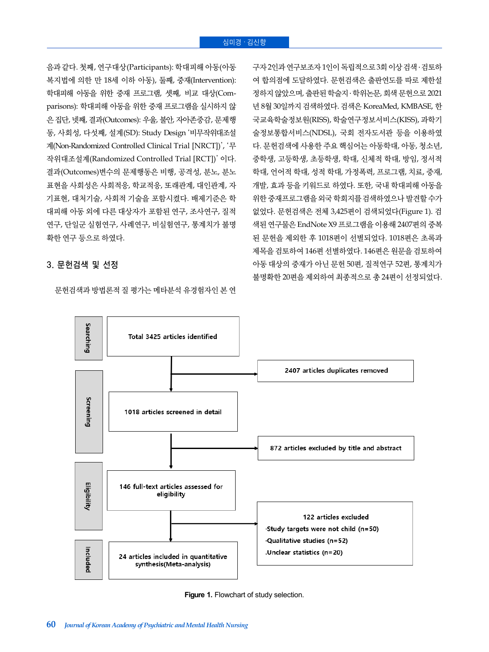음과 같다. 첫째, 연구대상(Participants): 학대피해 아동(아동 복지법에 의한 만 18세 이하 아동), 둘째, 중재(Intervention): 학대피해 아동을 위한 중재 프로그램, 셋째, 비교 대상(Comparisons): 학대피해 아동을 위한 중재 프로그램을 실시하지 않 은 집단, 넷째, 결과(Outcomes): 우울, 불안, 자아존중감, 문제행 동, 사회성, 다섯째, 설계(SD): Study Design '비무작위대조설 계(Non-Randomized Controlled Clinical Trial [NRCT])', '무 작위대조설계(Randomized Controlled Trial [RCT])' 이다. 결과(Outcomes)변수의 문제행동은 비행, 공격성, 분노, 분노 표현을 사회성은 사회적응, 학교적응, 또래관계, 대인관계, 자 기표현, 대처기술, 사회적 기술을 포함시켰다. 배제기준은 학 대피해 아동 외에 다른 대상자가 포함된 연구, 조사연구, 질적 연구, 단일군 실험연구, 사례연구, 비실험연구, 통계치가 불명 확한 연구 등으로 하였다.

#### 3. 문헌검색 및 선정

문헌검색과 방법론적 질 평가는 메타분석 유경험자인 본 연

구자 2인과 연구보조자 1인이 독립적으로 3회 이상 검색 ․ 검토하 여 합의점에 도달하였다. 문헌검색은 출판연도를 따로 제한설 정하지 않았으며, 출판된 학술지 ․ 학위논문, 회색 문헌으로 2021 년 8월 30일까지 검색하였다. 검색은 KoreaMed, KMBASE, 한 국교육학술정보원(RISS), 학술연구정보서비스(KISS), 과학기 술정보통합서비스(NDSL), 국회 전자도서관 등을 이용하였 다. 문헌검색에 사용한 주요 핵심어는 아동학대, 아동, 청소년, 중학생, 고등학생, 초등학생, 학대, 신체적 학대, 방임, 정서적 학대, 언어적 학대, 성적 학대, 가정폭력, 프로그램, 치료, 중재, 개발, 효과 등을 키워드로 하였다. 또한, 국내 학대피해 아동을 위한 중재프로그램을 외국 학회지를 검색하였으나 발견할 수가 없었다. 문헌검색은 전체 3,425편이 검색되었다(Figure 1). 검 색된 연구물은 EndNote X9 프로그램을 이용해 2407편의 중복 된 문헌을 제외한 후 1018편이 선별되었다. 1018편은 초록과 제목을 검토하여 146편 선별하였다. 146편은 원문을 검토하여 아동 대상의 중재가 아닌 문헌 50편, 질적연구 52편, 통계치가 불명확한 20편을 제외하여 최종적으로 총 24편이 선정되었다.



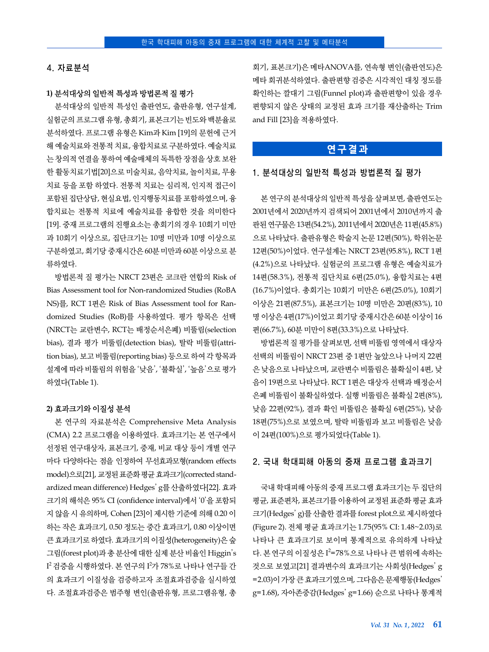#### 4. 자료분석

#### **1)** 분석대상의 일반적 특성과 방법론적 질 평가

분석대상의 일반적 특성인 출판연도, 출판유형, 연구설계, 실험군의 프로그램 유형, 총회기, 표본크기는 빈도와 백분율로 분석하였다. 프로그램 유형은 Kim과 Kim [19]의 문헌에 근거 해 예술치료와 전통적 치료, 융합치료로 구분하였다. 예술치료 는 창의적 연결을 통하여 예술매체의 독특한 장점을 상호 보완 한 활동치료기법[20]으로 미술치료, 음악치료, 놀이치료, 무용 치료 등을 포함 하였다. 전통적 치료는 심리적, 인지적 접근이 포함된 집단상담, 현실요법, 인지행동치료를 포함하였으며, 융 합치료는 전통적 치료에 예술치료를 융합한 것을 의미한다 [19]. 중재 프로그램의 진행요소는 총회기의 경우 10회기 미만 과 10회기 이상으로, 집단크기는 10명 미만과 10명 이상으로 구분하였고, 회기당 중재시간은 60분 미만과 60분 이상으로 분 류하였다.

방법론적 질 평가는 NRCT 23편은 코크란 연합의 Risk of Bias Assessment tool for Non-randomized Studies (RoBA NS)를, RCT 1편은 Risk of Bias Assessment tool for Randomized Studies (RoB)를 사용하였다. 평가 항목은 선택 (NRCT는 교란변수, RCT는 배정순서은폐) 비뚤림(selection bias), 결과 평가 비뚤림(detection bias), 탈락 비뚤림(attrition bias), 보고 비뚤림(reporting bias) 등으로 하여 각 항목과 설계에 따라 비뚤림의 위험을 '낮음', '불확실', '높음'으로 평가 하였다(Table 1).

#### **2)** 효과크기와 이질성 분석

본 연구의 자료분석은 Comprehensive Meta Analysis (CMA) 2.2 프로그램을 이용하였다. 효과크기는 본 연구에서 선정된 연구대상자, 표본크기, 중재, 비교 대상 등이 개별 연구 마다 다양하다는 점을 인정하여 무선효과모형(random effects model)으로[21], 교정된 표준화 평균 효과크기(corrected standardized mean difference) Hedges' g를 산출하였다[22]. 효과 크기의 해석은 95% CI (confidence interval)에서 '0'을 포함되 지 않을 시 유의하며, Cohen [23]이 제시한 기준에 의해 0.20 이 하는 작은 효과크기, 0.50 정도는 중간 효과크기, 0.80 이상이면 큰 효과크기로 하였다. 효과크기의 이질성(heterogeneity)은숲 그림(forest plot)과 총 분산에 대한 실제 분산 비율인 Higgin's I<sup>2</sup> 검증을 시행하였다. 본 연구의 I<sup>2</sup>가 78%로 나타나 연구들 간 의 효과크기 이질성을 검증하고자 조절효과검증을 실시하였 다. 조절효과검증은 범주형 변인(출판유형, 프로그램유형, 총 회기, 표본크기)은 메타ANOVA를, 연속형 변인(출판연도)은 메타 회귀분석하였다. 출판편향 검증은 시각적인 대칭 정도를 확인하는 깔대기 그림(Funnel plot)과 출판편향이 있을 경우 편향되지 않은 상태의 교정된 효과 크기를 재산출하는 Trim and Fill [23]을 적용하였다.

## **연구결과**

#### 1. 분석대상의 일반적 특성과 방법론적 질 평가

본 연구의 분석대상의 일반적 특성을 살펴보면, 출판연도는 2001년에서 2020년까지 검색되어 2001년에서 2010년까지 출 판된 연구물은 13편(54.2%), 2011년에서 2020년은 11편(45.8%) 으로 나타났다. 출판유형은 학술지 논문 12편(50%), 학위논문 12편(50%)이었다. 연구설계는 NRCT 23편(95.8%), RCT 1편 (4.2%)으로 나타났다. 실험군의 프로그램 유형은 예술치료가 14편(58.3%), 전통적 집단치료 6편(25.0%), 융합치료는 4편 (16.7%)이었다. 총회기는 10회기 미만은 6편(25.0%), 10회기 이상은 21편(87.5%), 표본크기는 10명 미만은 20편(83%), 10 명 이상은 4편(17%)이었고 회기당 중재시간은 60분 이상이 16 편(66.7%), 60분 미만이 8편(33.3%)으로 나타났다.

방법론적 질 평가를 살펴보면, 선택 비뚤림 영역에서 대상자 선택의 비뚤림이 NRCT 23편 중 1편만 높았으나 나머지 22편 은 낮음으로 나타났으며, 교란변수 비뚤림은 불확실이 4편, 낮 음이 19편으로 나타났다. RCT 1편은 대상자 선택과 배정순서 은폐 비뚤림이 불확실하였다. 실행 비뚤림은 불확실 2편(8%), 낮음 22편(92%), 결과 확인 비뚤림은 불확실 6편(25%), 낮음 18편(75%)으로 보였으며, 탈락 비뚤림과 보고 비뚤림은 낮음 이 24편(100%)으로 평가되었다(Table 1).

#### 2. 국내 학대피해 아동의 중재 프로그램 효과크기

국내 학대피해 아동의 중재 프로그램 효과크기는 두 집단의 평균, 표준편차, 표본크기를 이용하여 교정된 표준화 평균 효과 크기(Hedges' g)를 산출한 결과를 forest plot으로 제시하였다 (Figure 2). 전체 평균 효과크기는 1.75(95% CI: 1.48~2.03)로 나타나 큰 효과크기로 보이며 통계적으로 유의하게 나타났 다. 본 연구의 이질성은 I<sup>2</sup>=78%으로 나타나 큰 범위에 속하는 것으로 보였고[21] 결과변수의 효과크기는 사회성(Hedges' g =2.03)이 가장 큰 효과크기였으며, 그다음은 문제행동(Hedges' g=1.68), 자아존중감(Hedges' g=1.66) 순으로 나타나 통계적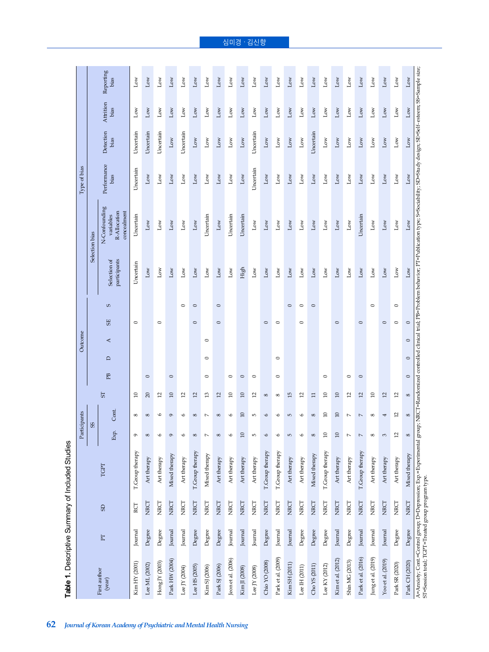|                                                    |          |                |                                                                                                                                                                                                                            | Participants             |                |                           |         |         | Outcome |                    |                              |                                                           | Type of bias        |                   |                   |                   |
|----------------------------------------------------|----------|----------------|----------------------------------------------------------------------------------------------------------------------------------------------------------------------------------------------------------------------------|--------------------------|----------------|---------------------------|---------|---------|---------|--------------------|------------------------------|-----------------------------------------------------------|---------------------|-------------------|-------------------|-------------------|
|                                                    |          |                |                                                                                                                                                                                                                            |                          | 8 <sup>o</sup> |                           |         |         |         |                    | Selection bias               |                                                           |                     |                   |                   |                   |
| First author<br>(year)                             | $\Gamma$ | $\overline{5}$ | TGPT                                                                                                                                                                                                                       | Exp.                     | Cont.          | 5                         | EB      | $\Box$  | $\prec$ | S<br>5E            | participants<br>Selection of | N-Confounding<br>R-Allocation<br>concealment<br>variables | Performance<br>bias | Detection<br>bias | Attrition<br>bias | Reporting<br>bias |
| Kim HY (2001)                                      | Journal  | RCT            | T.Group therapy                                                                                                                                                                                                            | G                        | ${}^{\circ}$   | $\Xi$                     |         |         | $\circ$ |                    | Uncertain                    | Uncertain                                                 | Uncertain           | Uncertain         | Low               | $_{\rm Low}$      |
| Lee ML (2002)                                      | Degree   | NRCT           | Art therapy                                                                                                                                                                                                                | ${}^{\circ}$             | 8              | $\Omega$                  | $\circ$ |         |         |                    | $_{\text{Low}}$              | $_{\text{Low}}$                                           | $_{\text{Low}}$     | Uncertain         | $_{\text{Low}}$   | $_{Low}$          |
| Hong JY (2003)                                     | Degree   | NRCT           | Art therapy                                                                                                                                                                                                                | $\circ$                  | G              | $\overline{12}$           |         |         |         | $\circ$            | $_{\rm Low}$                 | $_{\rm Low}$                                              | $_{\rm Low}$        | Uncertain         | $_{\text{Low}}$   | $_{\rm Low}$      |
| Park HW (2004)                                     | Journal  | NRCT           | Mixed therapy                                                                                                                                                                                                              | $\circ$                  | $\sigma$       | $10$                      | $\circ$ |         |         |                    | Low                          | Low                                                       | Low                 | Low               | Low               | $_{\text{Low}}$   |
| Lee JY (2004)                                      | Journal  | NRCT           | Art therapy                                                                                                                                                                                                                | G                        | O              | $\overline{c}$            |         |         |         | $\circ$            | $_{\rm Low}$                 | $_{\rm Low}$                                              | $_{\text{Low}}$     | Uncertain         | $_{\rm Low}$      | $_{\text{Low}}$   |
| Lee HS $(2005)$                                    | Degree   | NRCT           | T.Group therapy                                                                                                                                                                                                            | ${}^{\circ}$             | $\infty$       | 12                        |         |         |         | $\circ$<br>$\circ$ | $_{\rm Low}$                 | $_{\rm Low}$                                              | $_{\rm Low}$        | $_{\rm Low}$      | $_{\text{Low}}$   | $_{\text{Low}}$   |
| Kim SJ (2006)                                      | Degree   | NRCT           | Mixed therapy                                                                                                                                                                                                              | $\overline{ }$           | $\overline{ }$ | $\mathfrak{L}$            | $\circ$ | $\circ$ | $\circ$ |                    | $_{\rm Low}$                 | Uncertain                                                 | $_{\rm Low}$        | $_{\rm Low}$      | $_{\rm Low}$      | $_{\text{Low}}$   |
| Park SJ (2006)                                     | Degree   | NRCT           | Art therapy                                                                                                                                                                                                                | ${}^{\circ}$             | ${}^{\circ}$   | $\overline{c}$            |         |         | $\circ$ | $\circ$            | $_{\rm Low}$                 | $_{\rm Low}$                                              | $_{\rm Low}$        | $_{\rm Low}$      | $_{\text{Low}}$   | $_{\rm Low}$      |
| Jeon et al. (2006)                                 | Journal  | NRCT           | Art therapy                                                                                                                                                                                                                | $\circ$                  | $\bullet$      | $\Omega$                  | $\circ$ |         |         |                    | $_{\rm Low}$                 | Uncertain                                                 | $_{\rm Low}$        | $_{\rm Low}$      | $_{\rm Low}$      | $_{\rm Low}$      |
| Kim JI (2008)                                      | Journal  | NRCT           | Art therapy                                                                                                                                                                                                                | $\Omega$                 | $\Omega$       | $\Omega$                  | $\circ$ |         |         |                    | High                         | Uncertain                                                 | $_{\rm Low}$        | $_{\rm Low}$      | $_{\rm Low}$      | $_{\rm Low}$      |
| Lee JY (2008)                                      | Journal  | NRCT           | Art therapy                                                                                                                                                                                                                | Б                        | S              | $\overline{c}$            | $\circ$ |         |         |                    | $_{\rm Low}$                 | $_{\rm Low}$                                              | Uncertain           | Uncertain         | $_{\rm Low}$      | $_{\text{Low}}$   |
| Chio YO (2008)                                     | Degree   | NRCT           | T.Group therapy                                                                                                                                                                                                            | $\circ$                  | $\circ$        | ${}^{\circ}$              |         |         | $\circ$ |                    | $_{\rm Low}$                 | $_{\rm Low}$                                              | $_{\rm Low}$        | $_{\rm Low}$      | $_{\rm Low}$      | $_{\rm Low}$      |
| Park et al. (2009)                                 | Journal  | NRCT           | T.Group therapy                                                                                                                                                                                                            | 6                        | 6              | ${}^{\circ}$              | $\circ$ | $\circ$ | $\circ$ |                    | $_{\rm Low}$                 | $_{\rm Low}$                                              | $_{\rm Low}$        | $_{\rm Low}$      | $_{\rm Low}$      | $_{\rm Low}$      |
| Kim SH (2011)                                      | Journal  | NRCT           | Art therapy                                                                                                                                                                                                                | 5                        | 5              | 15                        |         |         |         | $\circ$            | Low                          | $_{\rm Low}$                                              | $_{\rm Low}$        | $_{\text{Low}}$   | $_{\text{Low}}$   | $_{\rm Low}$      |
| Lee IH $(2011)$                                    | Degree   | NRCT           | Art therapy                                                                                                                                                                                                                | 6                        | 6              | $\overline{c}$            |         |         |         | $\circ$<br>$\circ$ | $_{\rm Low}$                 | $_{\rm Low}$                                              | $_{\rm Low}$        | $_{\rm Low}$      | $_{\rm Low}$      | $_{\text{Low}}$   |
| Cho YS (2011)                                      | Degree   | NRCT           | Mixed therapy                                                                                                                                                                                                              | ${}^{\circ}$             | ${}^{\circ}$   | Η                         |         |         |         | $\circ$            | $_{\rm Low}$                 | $_{\rm Low}$                                              | $_{\rm Low}$        | Uncertain         | $_{\rm Low}$      | $_{\rm Low}$      |
| Lee KY (2012)                                      | Degree   | NRCT           | T.Group therapy                                                                                                                                                                                                            | $\Xi$                    | $\Xi$          | $\Xi$                     | $\circ$ |         |         |                    | $_{\rm Low}$                 | $_{\rm Low}$                                              | $_{\rm Low}$        | $_{\rm Low}$      | $_{\rm Low}$      | $_{\rm Low}$      |
| Kim et al. (2012)                                  | Journal  | NRCT           | Art therapy                                                                                                                                                                                                                | $\Xi$                    | $\Box$         | $\Omega$                  |         |         |         | $\circ$            | $_{\rm Low}$                 | $_{\rm Low}$                                              | $_{\rm Low}$        | $_{\rm Low}$      | Low               | $_{\rm Low}$      |
| Shin MG (2013)                                     | Degree   | NRCT           | Art therapy                                                                                                                                                                                                                | $\overline{a}$           | $\overline{ }$ | $\overline{c}$            | $\circ$ |         |         |                    | $_{\rm Low}$                 | $_{\rm Low}$                                              | $_{\text{Low}}$     | $_{\rm Low}$      | $_{\rm Low}$      | $_{\rm Low}$      |
| Park et al. (2016)                                 | Journal  | NRCT           | T.Group therapy                                                                                                                                                                                                            | $\overline{\phantom{a}}$ | $\overline{ }$ | $\overline{\mathfrak{L}}$ | $\circ$ |         |         | $\circ$            | $_{\rm Low}$                 | Uncertain                                                 | $_{\rm Low}$        | $_{\rm Low}$      | $_{\rm Low}$      | $_{\rm Low}$      |
| Jung et al. (2019)                                 | Journal  | NRCT           | Art therapy                                                                                                                                                                                                                | ${}^{\circ}$             | ${}^{\circ}$   | $\Xi$                     |         |         |         | $\circ$            | $_{\text{Low}}$              | $_{\rm Low}$                                              | $_{\rm Low}$        | $_{\text{Low}}$   | $_{\rm Low}$      | $_{\text{Low}}$   |
| Yoo et al. (2019)                                  | Journal  | NRCT           | Art therapy                                                                                                                                                                                                                | 3                        | 4              | $\mathfrak{Q}$            |         |         | $\circ$ |                    | $_{\text{Low}}$              | $_{\rm Low}$                                              | $_{\rm Low}$        | $_{\text{Low}}$   | $_{\text{Low}}$   | $_{\rm Low}$      |
| Park SR (2020)                                     | Degree   | NRCT           | Art therapy                                                                                                                                                                                                                | $\overline{12}$          | $\overline{2}$ | $\mathfrak{a}$            |         |         | $\circ$ | $\circ$            | $_{\rm Low}$                 | $_{\rm Low}$                                              | $_{\rm Low}$        | $_{\rm Low}$      | $_{\rm Low}$      | $_{\rm Low}$      |
| Park CH (2020)                                     | Degree   | NRCT           | Mixed therapy                                                                                                                                                                                                              | $\infty$                 | $\infty$       | $\infty$                  | $\circ$ | $\circ$ | $\circ$ | $\circ$            | $_{\rm Low}$                 | $_{\rm Low}$                                              | Low                 | Low               | $_{\rm Low}$      | $_{\rm Low}$      |
| ST=Session total; TGPT=Treated group program type. |          |                | A=Anxiety; Cont=Control group; D=Depression; Exp-Experimental group; NRCT=Randomized controlled chirical trial; PB=Problem behavior; PT=Publication type; S=Sociability; SD=Study design; SE=Self- esteem; SS=Sample size; |                          |                |                           |         |         |         |                    |                              |                                                           |                     |                   |                   |                   |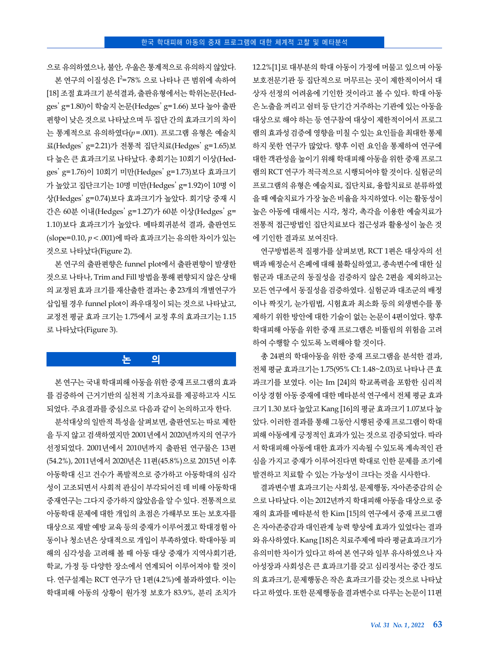으로 유의하였으나, 불안, 우울은 통계적으로 유의하지 않았다. 본 연구의 이질성은 I<sup>2</sup>=78% 으로 나타나 큰 범위에 속하여

[18] 조절 효과크기 분석결과, 출판유형에서는 학위논문(Hedges' g=1.80)이 학술지 논문(Hedges' g=1.66) 보다 높아 출판 편향이 낮은 것으로 나타났으며 두 집단 간의 효과크기의 차이 는 통계적으로 유의하였다(*p*=.001). 프로그램 유형은 예술치 료(Hedges' g=2.21)가 전통적 집단치료(Hedges' g=1.65)보 다 높은 큰 효과크기로 나타났다. 총회기는 10회기 이상(Hedges' g=1.76)이 10회기 미만(Hedges' g=1.73)보다 효과크기 가 높았고 집단크기는 10명 미만(Hedges' g=1.92)이 10명 이 상(Hedges' g=0.74)보다 효과크기가 높았다. 회기당 중재 시 간은 60분 이내(Hedges' g=1.27)가 60분 이상(Hedges' g= 1.10)보다 효과크기가 높았다. 메타회귀분석 결과, 출판연도 (slope=0.10, *p*<.001)에 따라 효과크기는 유의한 차이가 있는 것으로 나타났다(Figure 2).

본 연구의 출판편향은 funnel plot에서 출판편향이 발생한 것으로 나타나, Trim and Fill 방법을 통해 편향되지 않은 상태 의 교정된 효과 크기를 재산출한 결과는 총 23개의 개별연구가 삽입될 경우 funnel plot이 좌우대칭이 되는 것으로 나타났고, 교정전 평균 효과 크기는 1.75에서 교정 후의 효과크기는 1.15 로 나타났다(Figure 3).

## **논 의**

본 연구는 국내 학대피해 아동을 위한 중재 프로그램의 효과 를 검증하여 근거기반의 실천적 기초자료를 제공하고자 시도 되었다. 주요결과를 중심으로 다음과 같이 논의하고자 한다.

분석대상의 일반적 특성을 살펴보면, 출판연도는 따로 제한 을 두지 않고 검색하였지만 2001년에서 2020년까지의 연구가 선정되었다. 2001년에서 2010년까지 출판된 연구물은 13편 (54.2%), 2011년에서 2020년은 11편(45.8%)으로 2015년 이후 아동학대 신고 건수가 폭발적으로 증가하고 아동학대의 심각 성이 고조되면서 사회적 관심이 부각되어진 데 비해 아동학대 중재연구는 그다지 증가하지 않았음을 알 수 있다. 전통적으로 아동학대 문제에 대한 개입의 초점은 가해부모 또는 보호자를 대상으로 재발 예방 교육 등의 중재가 이루어졌고 학대경험 아 동이나 청소년은 상대적으로 개입이 부족하였다. 학대아동 피 해의 심각성을 고려해 볼 때 아동 대상 중재가 지역사회기관, 학교, 가정 등 다양한 장소에서 연계되어 이루어져야 할 것이 다. 연구설계는 RCT 연구가 단 1편(4.2%)에 불과하였다. 이는 학대피해 아동의 상황이 원가정 보호가 83.9%, 분리 조치가 12.2%[1]로 대부분의 학대 아동이 가정에 머물고 있으며 아동 보호전문기관 등 집단적으로 머무르는 곳이 제한적이어서 대 상자 선정의 어려움에 기인한 것이라고 볼 수 있다. 학대 아동 은 노출을 꺼리고 쉼터 등 단기간 거주하는 기관에 있는 아동을 대상으로 해야 하는 등 연구참여 대상이 제한적이어서 프로그 램의 효과성 검증에 영향을 미칠 수 있는 요인들을 최대한 통제 하지 못한 연구가 많았다. 향후 이런 요인을 통제하여 연구에 대한 객관성을 높이기 위해 학대피해 아동을 위한 중재 프로그 램의 RCT 연구가 적극적으로 시행되어야 할 것이다. 실험군의 프로그램의 유형은 예술치료, 집단치료, 융합치료로 분류하였 을 때 예술치료가 가장 높은 비율을 차지하였다. 이는 활동성이 높은 아동에 대해서는 시각, 청각, 촉각을 이용한 예술치료가 전통적 접근방법인 집단치료보다 접근성과 활용성이 높은 것 에 기인한 결과로 보여진다.

연구방법론적 질평가를 살펴보면, RCT 1편은 대상자의 선 택과 배정순서 은폐에 대해 불확실하였고, 종속변수에 대한 실 험군과 대조군의 동질성을 검증하지 않은 2편을 제외하고는 모든 연구에서 동질성을 검증하였다. 실험군과 대조군의 배정 이나 짝짓기, 눈가림법, 시험효과 최소화 등의 외생변수를 통 제하기 위한 방안에 대한 기술이 없는 논문이 4편이었다. 향후 학대피해 아동을 위한 중재 프로그램은 비뚤림의 위험을 고려 하여 수행할 수 있도록 노력해야 할 것이다.

총 24편의 학대아동을 위한 중재 프로그램을 분석한 결과, 전체 평균 효과크기는 1.75(95% CI: 1.48~2.03)로 나타나 큰 효 과크기를 보였다. 이는 Im [24]의 학교폭력을 포함한 심리적 이상 경험 아동 중재에 대한 메타분석 연구에서 전체 평균 효과 크기 1.30 보다 높았고 Kang [16]의 평균 효과크기 1.07보다 높 았다. 이러한 결과를 통해 그동안 시행된 중재 프로그램이 학대 피해 아동에게 긍정적인 효과가 있는 것으로 검증되었다. 따라 서 학대피해 아동에 대한 효과가 지속될 수 있도록 계속적인 관 심을 가지고 중재가 이루어진다면 학대로 인한 문제를 조기에 발견하고 치료할 수 있는 가능성이 크다는 것을 시사한다.

결과변수별 효과크기는 사회성, 문제행동, 자아존중감의 순 으로 나타났다. 이는 2012년까지 학대피해 아동을 대상으로 중 재의 효과를 메타분석 한 Kim [15]의 연구에서 중재 프로그램 은 자아존중감과 대인관계 능력 향상에 효과가 있었다는 결과 와 유사하였다. Kang [18]은 치료주제에 따라 평균효과크기가 유의미한 차이가 있다고 하여 본 연구와 일부 유사하였으나 자 아성장과 사회성은 큰 효과크기를 갖고 심리정서는 중간 정도 의 효과크기, 문제행동은 작은 효과크기를 갖는 것으로 나타났 다고 하였다. 또한 문제행동을 결과변수로 다루는 논문이 11편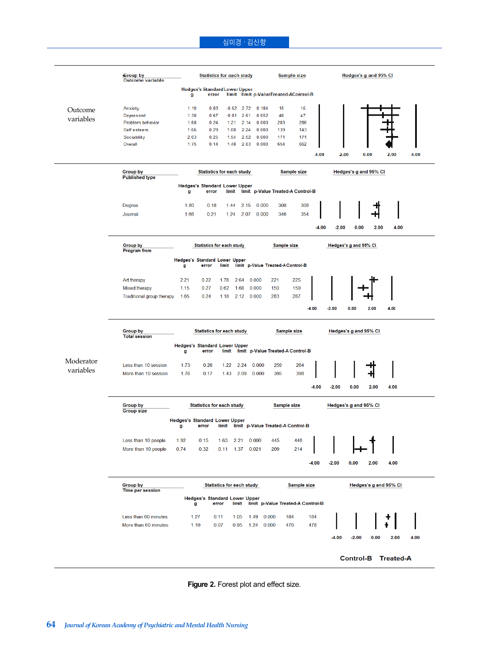## 심미경 · 김신향

| <b>Hedges's Standard Lower Upper</b><br>limit limit p-ValueTreated-AControl-B<br>error<br>g<br>1.10<br>0.83<br>$-0.52$<br>2.72<br>0.184<br>15<br>15<br>Anxiety<br>Outcome<br>Depressed<br>1.30<br>0.67<br>$-0.01$<br>2.61<br>0.052<br>46<br>47<br>variables<br>283<br>286<br>Problem behavior<br>1.68<br>0.24<br>1.21<br>2.14<br>0.000<br>0.29<br>Self esteem<br>1.08<br>2.24<br>0.000<br>139<br>1.66<br>143<br>0.25<br>2.52<br>0.000<br>171<br>Sociability<br>2.03<br>1.54<br>171<br>Overall<br>1.48<br>2.03<br>0.000<br>654<br>662<br>1.75<br>0.14<br>$-2.00$<br>0.00<br>4.00<br>-4.00<br>2.00<br><b>Group by</b><br><b>Statistics for each study</b><br><b>Sample size</b><br>Hedges's g and 95% CI<br><b>Published type</b><br><b>Hedges's Standard Lower Upper</b><br>limit p-Value Treated-A Control-B<br>error<br>limit<br>g<br>1.80<br>0.18<br>1.44<br>0.000<br>308<br>308<br><b>Degree</b><br>2.15<br>1.66<br>354<br>Journal<br>0.21<br>1.24<br>2.07<br>0.000<br>346<br>$-4.00$<br>$-2.00$<br>0.00<br>2.00<br>4.00<br>Group by<br><b>Statistics for each study</b><br>Sample size<br>Hedges's g and 95% CI<br><b>Program</b> from<br>Hedges's Standard Lower Upper<br>limit p-Value Treated-A Control-B<br>error<br>limit<br>g<br>225<br>Art therapy<br>2.21<br>0.22<br>2.64<br>0.000<br>221<br>1.78<br><b>Mixed therapy</b><br>1.15<br>0.27<br>0.62<br>1.68<br>0.000<br>150<br>150<br>1.65<br>0.24<br>2.12<br>0.000<br>283<br>287<br>Traditional group therapy<br>1.18<br>$-4.00$<br>$-2.00$<br>0.00<br>2.00<br>4.00<br>Hedges's g and 95% CI<br><b>Group by</b><br><b>Statistics for each study</b><br>Sample size<br><b>Total session</b><br><b>Hedges's Standard Lower Upper</b><br>limit limit p-Value Treated-A Control-B<br>error<br>g<br>Moderator<br>Less than 10 session<br>0.26<br>1.22<br>2.24<br>0.000<br>259<br>264<br>1.73<br>variables<br>395<br>More than 10 session<br>1.76<br>1.43<br>2.09<br>0.000<br>398<br>0.17<br>$-4.00$<br>$-2.00$<br>0.00<br>2.00<br>4.00<br><b>Statistics for each study</b><br><b>Sample size</b><br>Hedges's g and 95% CI<br><b>Group by</b><br><b>Group size</b><br><b>Hedges's Standard Lower Upper</b><br>limit limit p-Value Treated-A Control-B<br>error<br>g<br>Less than 10 people<br>1.92<br>0.15<br>1.63 2.21 0.000<br>445<br>448<br>More than 10 people<br>0.74<br>0.32<br>1.37 0.021<br>209<br>214<br>0.11<br>4.00<br>$-4.00$<br>$-2.00$<br>0.00<br>2.00<br><b>Group by</b><br><b>Statistics for each study</b><br>Sample size<br>Hedges's g and 95% CI<br><b>Time per session</b><br><b>Hedges's Standard Lower Upper</b><br>limit p-Value Treated-A Control-B<br>error<br>limit<br>g<br>Less than 60 minutes.<br>184<br>1.27<br>0.11<br>1.05<br>1.49<br>0.000<br>184<br>478<br>More than 60 minutes<br>0.07<br>0.000<br>470<br>1.10<br>0.95<br>1.24<br>4.00<br>-4.00<br>$-2.00$<br>0.00<br>2.00<br><b>Treated-A</b><br><b>Control-B</b> | <b>Group by</b><br><b>Outcome variable</b> | <b>Statistics for each study</b> |  |  |  |  |  |  | <b>Sample size</b> |  |  | Hedges's g and 95% CI |  |  |  |  |
|------------------------------------------------------------------------------------------------------------------------------------------------------------------------------------------------------------------------------------------------------------------------------------------------------------------------------------------------------------------------------------------------------------------------------------------------------------------------------------------------------------------------------------------------------------------------------------------------------------------------------------------------------------------------------------------------------------------------------------------------------------------------------------------------------------------------------------------------------------------------------------------------------------------------------------------------------------------------------------------------------------------------------------------------------------------------------------------------------------------------------------------------------------------------------------------------------------------------------------------------------------------------------------------------------------------------------------------------------------------------------------------------------------------------------------------------------------------------------------------------------------------------------------------------------------------------------------------------------------------------------------------------------------------------------------------------------------------------------------------------------------------------------------------------------------------------------------------------------------------------------------------------------------------------------------------------------------------------------------------------------------------------------------------------------------------------------------------------------------------------------------------------------------------------------------------------------------------------------------------------------------------------------------------------------------------------------------------------------------------------------------------------------------------------------------------------------------------------------------------------------------------------------------------------------------------------------------------------------------------------------------------------------------------------------------------------------------------------------------------------------------------------------------------------------------------------------------------------------------------------------------------------------------|--------------------------------------------|----------------------------------|--|--|--|--|--|--|--------------------|--|--|-----------------------|--|--|--|--|
|                                                                                                                                                                                                                                                                                                                                                                                                                                                                                                                                                                                                                                                                                                                                                                                                                                                                                                                                                                                                                                                                                                                                                                                                                                                                                                                                                                                                                                                                                                                                                                                                                                                                                                                                                                                                                                                                                                                                                                                                                                                                                                                                                                                                                                                                                                                                                                                                                                                                                                                                                                                                                                                                                                                                                                                                                                                                                                            |                                            |                                  |  |  |  |  |  |  |                    |  |  |                       |  |  |  |  |
|                                                                                                                                                                                                                                                                                                                                                                                                                                                                                                                                                                                                                                                                                                                                                                                                                                                                                                                                                                                                                                                                                                                                                                                                                                                                                                                                                                                                                                                                                                                                                                                                                                                                                                                                                                                                                                                                                                                                                                                                                                                                                                                                                                                                                                                                                                                                                                                                                                                                                                                                                                                                                                                                                                                                                                                                                                                                                                            |                                            |                                  |  |  |  |  |  |  |                    |  |  |                       |  |  |  |  |
|                                                                                                                                                                                                                                                                                                                                                                                                                                                                                                                                                                                                                                                                                                                                                                                                                                                                                                                                                                                                                                                                                                                                                                                                                                                                                                                                                                                                                                                                                                                                                                                                                                                                                                                                                                                                                                                                                                                                                                                                                                                                                                                                                                                                                                                                                                                                                                                                                                                                                                                                                                                                                                                                                                                                                                                                                                                                                                            |                                            |                                  |  |  |  |  |  |  |                    |  |  |                       |  |  |  |  |
|                                                                                                                                                                                                                                                                                                                                                                                                                                                                                                                                                                                                                                                                                                                                                                                                                                                                                                                                                                                                                                                                                                                                                                                                                                                                                                                                                                                                                                                                                                                                                                                                                                                                                                                                                                                                                                                                                                                                                                                                                                                                                                                                                                                                                                                                                                                                                                                                                                                                                                                                                                                                                                                                                                                                                                                                                                                                                                            |                                            |                                  |  |  |  |  |  |  |                    |  |  |                       |  |  |  |  |
|                                                                                                                                                                                                                                                                                                                                                                                                                                                                                                                                                                                                                                                                                                                                                                                                                                                                                                                                                                                                                                                                                                                                                                                                                                                                                                                                                                                                                                                                                                                                                                                                                                                                                                                                                                                                                                                                                                                                                                                                                                                                                                                                                                                                                                                                                                                                                                                                                                                                                                                                                                                                                                                                                                                                                                                                                                                                                                            |                                            |                                  |  |  |  |  |  |  |                    |  |  |                       |  |  |  |  |
|                                                                                                                                                                                                                                                                                                                                                                                                                                                                                                                                                                                                                                                                                                                                                                                                                                                                                                                                                                                                                                                                                                                                                                                                                                                                                                                                                                                                                                                                                                                                                                                                                                                                                                                                                                                                                                                                                                                                                                                                                                                                                                                                                                                                                                                                                                                                                                                                                                                                                                                                                                                                                                                                                                                                                                                                                                                                                                            |                                            |                                  |  |  |  |  |  |  |                    |  |  |                       |  |  |  |  |
|                                                                                                                                                                                                                                                                                                                                                                                                                                                                                                                                                                                                                                                                                                                                                                                                                                                                                                                                                                                                                                                                                                                                                                                                                                                                                                                                                                                                                                                                                                                                                                                                                                                                                                                                                                                                                                                                                                                                                                                                                                                                                                                                                                                                                                                                                                                                                                                                                                                                                                                                                                                                                                                                                                                                                                                                                                                                                                            |                                            |                                  |  |  |  |  |  |  |                    |  |  |                       |  |  |  |  |
|                                                                                                                                                                                                                                                                                                                                                                                                                                                                                                                                                                                                                                                                                                                                                                                                                                                                                                                                                                                                                                                                                                                                                                                                                                                                                                                                                                                                                                                                                                                                                                                                                                                                                                                                                                                                                                                                                                                                                                                                                                                                                                                                                                                                                                                                                                                                                                                                                                                                                                                                                                                                                                                                                                                                                                                                                                                                                                            |                                            |                                  |  |  |  |  |  |  |                    |  |  |                       |  |  |  |  |
|                                                                                                                                                                                                                                                                                                                                                                                                                                                                                                                                                                                                                                                                                                                                                                                                                                                                                                                                                                                                                                                                                                                                                                                                                                                                                                                                                                                                                                                                                                                                                                                                                                                                                                                                                                                                                                                                                                                                                                                                                                                                                                                                                                                                                                                                                                                                                                                                                                                                                                                                                                                                                                                                                                                                                                                                                                                                                                            |                                            |                                  |  |  |  |  |  |  |                    |  |  |                       |  |  |  |  |
|                                                                                                                                                                                                                                                                                                                                                                                                                                                                                                                                                                                                                                                                                                                                                                                                                                                                                                                                                                                                                                                                                                                                                                                                                                                                                                                                                                                                                                                                                                                                                                                                                                                                                                                                                                                                                                                                                                                                                                                                                                                                                                                                                                                                                                                                                                                                                                                                                                                                                                                                                                                                                                                                                                                                                                                                                                                                                                            |                                            |                                  |  |  |  |  |  |  |                    |  |  |                       |  |  |  |  |
|                                                                                                                                                                                                                                                                                                                                                                                                                                                                                                                                                                                                                                                                                                                                                                                                                                                                                                                                                                                                                                                                                                                                                                                                                                                                                                                                                                                                                                                                                                                                                                                                                                                                                                                                                                                                                                                                                                                                                                                                                                                                                                                                                                                                                                                                                                                                                                                                                                                                                                                                                                                                                                                                                                                                                                                                                                                                                                            |                                            |                                  |  |  |  |  |  |  |                    |  |  |                       |  |  |  |  |
|                                                                                                                                                                                                                                                                                                                                                                                                                                                                                                                                                                                                                                                                                                                                                                                                                                                                                                                                                                                                                                                                                                                                                                                                                                                                                                                                                                                                                                                                                                                                                                                                                                                                                                                                                                                                                                                                                                                                                                                                                                                                                                                                                                                                                                                                                                                                                                                                                                                                                                                                                                                                                                                                                                                                                                                                                                                                                                            |                                            |                                  |  |  |  |  |  |  |                    |  |  |                       |  |  |  |  |
|                                                                                                                                                                                                                                                                                                                                                                                                                                                                                                                                                                                                                                                                                                                                                                                                                                                                                                                                                                                                                                                                                                                                                                                                                                                                                                                                                                                                                                                                                                                                                                                                                                                                                                                                                                                                                                                                                                                                                                                                                                                                                                                                                                                                                                                                                                                                                                                                                                                                                                                                                                                                                                                                                                                                                                                                                                                                                                            |                                            |                                  |  |  |  |  |  |  |                    |  |  |                       |  |  |  |  |
|                                                                                                                                                                                                                                                                                                                                                                                                                                                                                                                                                                                                                                                                                                                                                                                                                                                                                                                                                                                                                                                                                                                                                                                                                                                                                                                                                                                                                                                                                                                                                                                                                                                                                                                                                                                                                                                                                                                                                                                                                                                                                                                                                                                                                                                                                                                                                                                                                                                                                                                                                                                                                                                                                                                                                                                                                                                                                                            |                                            |                                  |  |  |  |  |  |  |                    |  |  |                       |  |  |  |  |
|                                                                                                                                                                                                                                                                                                                                                                                                                                                                                                                                                                                                                                                                                                                                                                                                                                                                                                                                                                                                                                                                                                                                                                                                                                                                                                                                                                                                                                                                                                                                                                                                                                                                                                                                                                                                                                                                                                                                                                                                                                                                                                                                                                                                                                                                                                                                                                                                                                                                                                                                                                                                                                                                                                                                                                                                                                                                                                            |                                            |                                  |  |  |  |  |  |  |                    |  |  |                       |  |  |  |  |
|                                                                                                                                                                                                                                                                                                                                                                                                                                                                                                                                                                                                                                                                                                                                                                                                                                                                                                                                                                                                                                                                                                                                                                                                                                                                                                                                                                                                                                                                                                                                                                                                                                                                                                                                                                                                                                                                                                                                                                                                                                                                                                                                                                                                                                                                                                                                                                                                                                                                                                                                                                                                                                                                                                                                                                                                                                                                                                            |                                            |                                  |  |  |  |  |  |  |                    |  |  |                       |  |  |  |  |
|                                                                                                                                                                                                                                                                                                                                                                                                                                                                                                                                                                                                                                                                                                                                                                                                                                                                                                                                                                                                                                                                                                                                                                                                                                                                                                                                                                                                                                                                                                                                                                                                                                                                                                                                                                                                                                                                                                                                                                                                                                                                                                                                                                                                                                                                                                                                                                                                                                                                                                                                                                                                                                                                                                                                                                                                                                                                                                            |                                            |                                  |  |  |  |  |  |  |                    |  |  |                       |  |  |  |  |
|                                                                                                                                                                                                                                                                                                                                                                                                                                                                                                                                                                                                                                                                                                                                                                                                                                                                                                                                                                                                                                                                                                                                                                                                                                                                                                                                                                                                                                                                                                                                                                                                                                                                                                                                                                                                                                                                                                                                                                                                                                                                                                                                                                                                                                                                                                                                                                                                                                                                                                                                                                                                                                                                                                                                                                                                                                                                                                            |                                            |                                  |  |  |  |  |  |  |                    |  |  |                       |  |  |  |  |
|                                                                                                                                                                                                                                                                                                                                                                                                                                                                                                                                                                                                                                                                                                                                                                                                                                                                                                                                                                                                                                                                                                                                                                                                                                                                                                                                                                                                                                                                                                                                                                                                                                                                                                                                                                                                                                                                                                                                                                                                                                                                                                                                                                                                                                                                                                                                                                                                                                                                                                                                                                                                                                                                                                                                                                                                                                                                                                            |                                            |                                  |  |  |  |  |  |  |                    |  |  |                       |  |  |  |  |
|                                                                                                                                                                                                                                                                                                                                                                                                                                                                                                                                                                                                                                                                                                                                                                                                                                                                                                                                                                                                                                                                                                                                                                                                                                                                                                                                                                                                                                                                                                                                                                                                                                                                                                                                                                                                                                                                                                                                                                                                                                                                                                                                                                                                                                                                                                                                                                                                                                                                                                                                                                                                                                                                                                                                                                                                                                                                                                            |                                            |                                  |  |  |  |  |  |  |                    |  |  |                       |  |  |  |  |
|                                                                                                                                                                                                                                                                                                                                                                                                                                                                                                                                                                                                                                                                                                                                                                                                                                                                                                                                                                                                                                                                                                                                                                                                                                                                                                                                                                                                                                                                                                                                                                                                                                                                                                                                                                                                                                                                                                                                                                                                                                                                                                                                                                                                                                                                                                                                                                                                                                                                                                                                                                                                                                                                                                                                                                                                                                                                                                            |                                            |                                  |  |  |  |  |  |  |                    |  |  |                       |  |  |  |  |
|                                                                                                                                                                                                                                                                                                                                                                                                                                                                                                                                                                                                                                                                                                                                                                                                                                                                                                                                                                                                                                                                                                                                                                                                                                                                                                                                                                                                                                                                                                                                                                                                                                                                                                                                                                                                                                                                                                                                                                                                                                                                                                                                                                                                                                                                                                                                                                                                                                                                                                                                                                                                                                                                                                                                                                                                                                                                                                            |                                            |                                  |  |  |  |  |  |  |                    |  |  |                       |  |  |  |  |
|                                                                                                                                                                                                                                                                                                                                                                                                                                                                                                                                                                                                                                                                                                                                                                                                                                                                                                                                                                                                                                                                                                                                                                                                                                                                                                                                                                                                                                                                                                                                                                                                                                                                                                                                                                                                                                                                                                                                                                                                                                                                                                                                                                                                                                                                                                                                                                                                                                                                                                                                                                                                                                                                                                                                                                                                                                                                                                            |                                            |                                  |  |  |  |  |  |  |                    |  |  |                       |  |  |  |  |
|                                                                                                                                                                                                                                                                                                                                                                                                                                                                                                                                                                                                                                                                                                                                                                                                                                                                                                                                                                                                                                                                                                                                                                                                                                                                                                                                                                                                                                                                                                                                                                                                                                                                                                                                                                                                                                                                                                                                                                                                                                                                                                                                                                                                                                                                                                                                                                                                                                                                                                                                                                                                                                                                                                                                                                                                                                                                                                            |                                            |                                  |  |  |  |  |  |  |                    |  |  |                       |  |  |  |  |
|                                                                                                                                                                                                                                                                                                                                                                                                                                                                                                                                                                                                                                                                                                                                                                                                                                                                                                                                                                                                                                                                                                                                                                                                                                                                                                                                                                                                                                                                                                                                                                                                                                                                                                                                                                                                                                                                                                                                                                                                                                                                                                                                                                                                                                                                                                                                                                                                                                                                                                                                                                                                                                                                                                                                                                                                                                                                                                            |                                            |                                  |  |  |  |  |  |  |                    |  |  |                       |  |  |  |  |
|                                                                                                                                                                                                                                                                                                                                                                                                                                                                                                                                                                                                                                                                                                                                                                                                                                                                                                                                                                                                                                                                                                                                                                                                                                                                                                                                                                                                                                                                                                                                                                                                                                                                                                                                                                                                                                                                                                                                                                                                                                                                                                                                                                                                                                                                                                                                                                                                                                                                                                                                                                                                                                                                                                                                                                                                                                                                                                            |                                            |                                  |  |  |  |  |  |  |                    |  |  |                       |  |  |  |  |
|                                                                                                                                                                                                                                                                                                                                                                                                                                                                                                                                                                                                                                                                                                                                                                                                                                                                                                                                                                                                                                                                                                                                                                                                                                                                                                                                                                                                                                                                                                                                                                                                                                                                                                                                                                                                                                                                                                                                                                                                                                                                                                                                                                                                                                                                                                                                                                                                                                                                                                                                                                                                                                                                                                                                                                                                                                                                                                            |                                            |                                  |  |  |  |  |  |  |                    |  |  |                       |  |  |  |  |
|                                                                                                                                                                                                                                                                                                                                                                                                                                                                                                                                                                                                                                                                                                                                                                                                                                                                                                                                                                                                                                                                                                                                                                                                                                                                                                                                                                                                                                                                                                                                                                                                                                                                                                                                                                                                                                                                                                                                                                                                                                                                                                                                                                                                                                                                                                                                                                                                                                                                                                                                                                                                                                                                                                                                                                                                                                                                                                            |                                            |                                  |  |  |  |  |  |  |                    |  |  |                       |  |  |  |  |
|                                                                                                                                                                                                                                                                                                                                                                                                                                                                                                                                                                                                                                                                                                                                                                                                                                                                                                                                                                                                                                                                                                                                                                                                                                                                                                                                                                                                                                                                                                                                                                                                                                                                                                                                                                                                                                                                                                                                                                                                                                                                                                                                                                                                                                                                                                                                                                                                                                                                                                                                                                                                                                                                                                                                                                                                                                                                                                            |                                            |                                  |  |  |  |  |  |  |                    |  |  |                       |  |  |  |  |
|                                                                                                                                                                                                                                                                                                                                                                                                                                                                                                                                                                                                                                                                                                                                                                                                                                                                                                                                                                                                                                                                                                                                                                                                                                                                                                                                                                                                                                                                                                                                                                                                                                                                                                                                                                                                                                                                                                                                                                                                                                                                                                                                                                                                                                                                                                                                                                                                                                                                                                                                                                                                                                                                                                                                                                                                                                                                                                            |                                            |                                  |  |  |  |  |  |  |                    |  |  |                       |  |  |  |  |
|                                                                                                                                                                                                                                                                                                                                                                                                                                                                                                                                                                                                                                                                                                                                                                                                                                                                                                                                                                                                                                                                                                                                                                                                                                                                                                                                                                                                                                                                                                                                                                                                                                                                                                                                                                                                                                                                                                                                                                                                                                                                                                                                                                                                                                                                                                                                                                                                                                                                                                                                                                                                                                                                                                                                                                                                                                                                                                            |                                            |                                  |  |  |  |  |  |  |                    |  |  |                       |  |  |  |  |
|                                                                                                                                                                                                                                                                                                                                                                                                                                                                                                                                                                                                                                                                                                                                                                                                                                                                                                                                                                                                                                                                                                                                                                                                                                                                                                                                                                                                                                                                                                                                                                                                                                                                                                                                                                                                                                                                                                                                                                                                                                                                                                                                                                                                                                                                                                                                                                                                                                                                                                                                                                                                                                                                                                                                                                                                                                                                                                            |                                            |                                  |  |  |  |  |  |  |                    |  |  |                       |  |  |  |  |
|                                                                                                                                                                                                                                                                                                                                                                                                                                                                                                                                                                                                                                                                                                                                                                                                                                                                                                                                                                                                                                                                                                                                                                                                                                                                                                                                                                                                                                                                                                                                                                                                                                                                                                                                                                                                                                                                                                                                                                                                                                                                                                                                                                                                                                                                                                                                                                                                                                                                                                                                                                                                                                                                                                                                                                                                                                                                                                            |                                            |                                  |  |  |  |  |  |  |                    |  |  |                       |  |  |  |  |
|                                                                                                                                                                                                                                                                                                                                                                                                                                                                                                                                                                                                                                                                                                                                                                                                                                                                                                                                                                                                                                                                                                                                                                                                                                                                                                                                                                                                                                                                                                                                                                                                                                                                                                                                                                                                                                                                                                                                                                                                                                                                                                                                                                                                                                                                                                                                                                                                                                                                                                                                                                                                                                                                                                                                                                                                                                                                                                            |                                            |                                  |  |  |  |  |  |  |                    |  |  |                       |  |  |  |  |
|                                                                                                                                                                                                                                                                                                                                                                                                                                                                                                                                                                                                                                                                                                                                                                                                                                                                                                                                                                                                                                                                                                                                                                                                                                                                                                                                                                                                                                                                                                                                                                                                                                                                                                                                                                                                                                                                                                                                                                                                                                                                                                                                                                                                                                                                                                                                                                                                                                                                                                                                                                                                                                                                                                                                                                                                                                                                                                            |                                            |                                  |  |  |  |  |  |  |                    |  |  |                       |  |  |  |  |
|                                                                                                                                                                                                                                                                                                                                                                                                                                                                                                                                                                                                                                                                                                                                                                                                                                                                                                                                                                                                                                                                                                                                                                                                                                                                                                                                                                                                                                                                                                                                                                                                                                                                                                                                                                                                                                                                                                                                                                                                                                                                                                                                                                                                                                                                                                                                                                                                                                                                                                                                                                                                                                                                                                                                                                                                                                                                                                            |                                            |                                  |  |  |  |  |  |  |                    |  |  |                       |  |  |  |  |
|                                                                                                                                                                                                                                                                                                                                                                                                                                                                                                                                                                                                                                                                                                                                                                                                                                                                                                                                                                                                                                                                                                                                                                                                                                                                                                                                                                                                                                                                                                                                                                                                                                                                                                                                                                                                                                                                                                                                                                                                                                                                                                                                                                                                                                                                                                                                                                                                                                                                                                                                                                                                                                                                                                                                                                                                                                                                                                            |                                            |                                  |  |  |  |  |  |  |                    |  |  |                       |  |  |  |  |
|                                                                                                                                                                                                                                                                                                                                                                                                                                                                                                                                                                                                                                                                                                                                                                                                                                                                                                                                                                                                                                                                                                                                                                                                                                                                                                                                                                                                                                                                                                                                                                                                                                                                                                                                                                                                                                                                                                                                                                                                                                                                                                                                                                                                                                                                                                                                                                                                                                                                                                                                                                                                                                                                                                                                                                                                                                                                                                            |                                            |                                  |  |  |  |  |  |  |                    |  |  |                       |  |  |  |  |
|                                                                                                                                                                                                                                                                                                                                                                                                                                                                                                                                                                                                                                                                                                                                                                                                                                                                                                                                                                                                                                                                                                                                                                                                                                                                                                                                                                                                                                                                                                                                                                                                                                                                                                                                                                                                                                                                                                                                                                                                                                                                                                                                                                                                                                                                                                                                                                                                                                                                                                                                                                                                                                                                                                                                                                                                                                                                                                            |                                            |                                  |  |  |  |  |  |  |                    |  |  |                       |  |  |  |  |
|                                                                                                                                                                                                                                                                                                                                                                                                                                                                                                                                                                                                                                                                                                                                                                                                                                                                                                                                                                                                                                                                                                                                                                                                                                                                                                                                                                                                                                                                                                                                                                                                                                                                                                                                                                                                                                                                                                                                                                                                                                                                                                                                                                                                                                                                                                                                                                                                                                                                                                                                                                                                                                                                                                                                                                                                                                                                                                            |                                            |                                  |  |  |  |  |  |  |                    |  |  |                       |  |  |  |  |
|                                                                                                                                                                                                                                                                                                                                                                                                                                                                                                                                                                                                                                                                                                                                                                                                                                                                                                                                                                                                                                                                                                                                                                                                                                                                                                                                                                                                                                                                                                                                                                                                                                                                                                                                                                                                                                                                                                                                                                                                                                                                                                                                                                                                                                                                                                                                                                                                                                                                                                                                                                                                                                                                                                                                                                                                                                                                                                            |                                            |                                  |  |  |  |  |  |  |                    |  |  |                       |  |  |  |  |
|                                                                                                                                                                                                                                                                                                                                                                                                                                                                                                                                                                                                                                                                                                                                                                                                                                                                                                                                                                                                                                                                                                                                                                                                                                                                                                                                                                                                                                                                                                                                                                                                                                                                                                                                                                                                                                                                                                                                                                                                                                                                                                                                                                                                                                                                                                                                                                                                                                                                                                                                                                                                                                                                                                                                                                                                                                                                                                            |                                            |                                  |  |  |  |  |  |  |                    |  |  |                       |  |  |  |  |

**Figure 2.** Forest plot and effect size.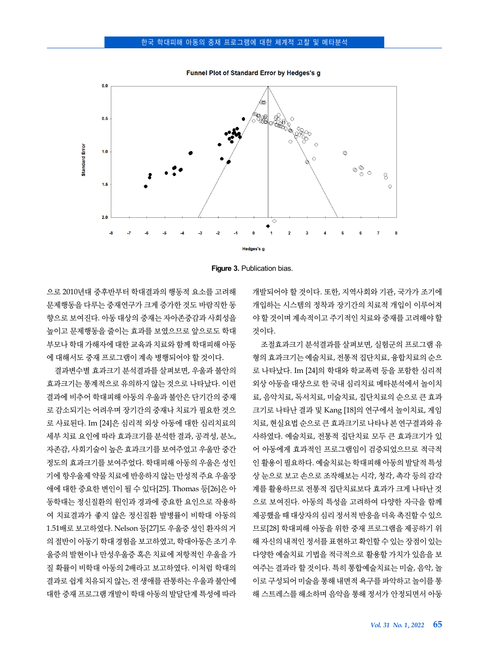Funnel Plot of Standard Error by Hedges's g





으로 2010년대 중후반부터 학대결과의 행동적 요소를 고려해 문제행동을 다루는 중재연구가 크게 증가한 것도 바람직한 동 향으로 보여진다. 아동 대상의 중재는 자아존중감과 사회성을 높이고 문제행동을 줄이는 효과를 보였으므로 앞으로도 학대 부모나 학대 가해자에 대한 교육과 치료와 함께 학대피해 아동 에 대해서도 중재 프로그램이 계속 병행되어야 할 것이다.

결과변수별 효과크기 분석결과를 살펴보면, 우울과 불안의 효과크기는 통계적으로 유의하지 않는 것으로 나타났다. 이런 결과에 비추어 학대피해 아동의 우울과 불안은 단기간의 중재 로 감소되기는 어려우며 장기간의 중재나 치료가 필요한 것으 로 사료된다. Im [24]은 심리적 외상 아동에 대한 심리치료의 세부 치료 요인에 따라 효과크기를 분석한 결과, 공격성, 분노, 자존감, 사회기술이 높은 효과크기를 보여주었고 우울만 중간 정도의 효과크기를 보여주었다. 학대피해 아동의 우울은 성인 기에 항우울제 약물 치료에 반응하지 않는 만성적 주요 우울장 애에 대한 중요한 변인이 될 수 있다[25]. Thomas 등[26]은 아 동학대는 정신질환의 원인과 경과에 중요한 요인으로 작용하 여 치료결과가 좋지 않은 정신질환 발병률이 비학대 아동의 1.51배로 보고하였다. Nelson 등[27]도 우울증 성인 환자의 거 의 절반이 아동기 학대 경험을 보고하였고, 학대아동은 조기 우 울증의 발현이나 만성우울증 혹은 치료에 저항적인 우울을 가 질 확률이 비학대 아동의 2배라고 보고하였다. 이처럼 학대의 결과로 쉽게 치유되지 않는, 전 생애를 관통하는 우울과 불안에 대한 중재 프로그램 개발이 학대 아동의 발달단계 특성에 따라 개발되어야 할 것이다. 또한, 지역사회와 기관, 국가가 조기에 개입하는 시스템의 정착과 장기간의 치료적 개입이 이루어져 야 할 것이며 계속적이고 주기적인 치료와 중재를 고려해야 할 것이다.

조절효과크기 분석결과를 살펴보면, 실험군의 프로그램 유 형의 효과크기는 예술치료, 전통적 집단치료, 융합치료의 순으 로 나타났다. Im [24]의 학대와 학교폭력 등을 포함한 심리적 외상 아동을 대상으로 한 국내 심리치료 메타분석에서 놀이치 료, 음악치료, 독서치료, 미술치료, 집단치료의 순으로 큰 효과 크기로 나타난 결과 및 Kang [18]의 연구에서 놀이치료, 게임 치료, 현실요법 순으로 큰 효과크기로 나타나 본 연구결과와 유 사하였다. 예술치료, 전통적 집단치료 모두 큰 효과크기가 있 어 아동에게 효과적인 프로그램임이 검증되었으므로 적극적 인 활용이 필요하다. 예술치료는 학대피해 아동의 발달적 특성 상 눈으로 보고 손으로 조작해보는 시각, 청각, 촉각 등의 감각 계를 활용하므로 전통적 집단치료보다 효과가 크게 나타난 것 으로 보여진다. 아동의 특성을 고려하여 다양한 자극을 함께 제공했을 때 대상자의 심리 정서적 반응을 더욱 촉진할 수 있으 므로[28] 학대피해 아동을 위한 중재 프로그램을 제공하기 위 해 자신의 내적인 정서를 표현하고 확인할 수 있는 장점이 있는 다양한 예술치료 기법을 적극적으로 활용할 가치가 있음을 보 여주는 결과라 할 것이다. 특히 통합예술치료는 미술, 음악, 놀 이로 구성되어 미술을 통해 내면적 욕구를 파악하고 놀이를 통 해 스트레스를 해소하며 음악을 통해 정서가 안정되면서 아동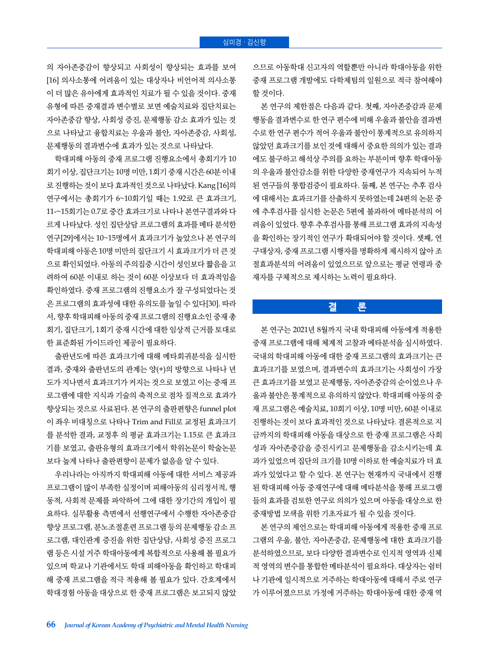#### 심미경 · 김신향

의 자아존중감이 향상되고 사회성이 향상되는 효과를 보여 [16] 의사소통에 어려움이 있는 대상자나 비언어적 의사소통 이 더 많은 유아에게 효과적인 치료가 될 수 있을 것이다. 중재 유형에 따른 중재결과 변수별로 보면 예술치료와 집단치료는 자아존중감 향상, 사회성 증진, 문제행동 감소 효과가 있는 것 으로 나타났고 융합치료는 우울과 불안, 자아존중감, 사회성, 문제행동의 결과변수에 효과가 있는 것으로 나타났다.

학대피해 아동의 중재 프로그램 진행요소에서 총회기가 10 회기 이상, 집단크기는 10명 미만, 1회기 중재 시간은 60분 이내 로 진행하는 것이 보다 효과적인 것으로 나타났다. Kang [16]의 연구에서는 총회기가 6~10회기일 때는 1.92로 큰 효과크기, 11-~15회기는 0.7로 중간 효과크기로 나타나 본연구결과와 다 르게 나타났다. 성인 집단상담 프로그램의 효과를 메타 분석한 연구[29]에서는 10~15명에서 효과크기가 높았으나 본 연구의 학대피해 아동은 10명 미만의 집단크기 시 효과크기가 더 큰 것 으로 확인되었다. 아동의 주의집중 시간이 성인보다 짧음을 고 려하여 60분 이내로 하는 것이 60분 이상보다 더 효과적임을 확인하였다. 중재 프로그램의 진행요소가 잘 구성되었다는 것 은 프로그램의 효과성에 대한 유의도를 높일 수 있다[30]. 따라 서, 향후 학대피해 아동의 중재 프로그램의 진행요소인 중재 총 회기, 집단크기, 1회기 중재 시간에 대한 임상적 근거를 토대로 한 표준화된 가이드라인 제공이 필요하다.

출판년도에 따른 효과크기에 대해 메타회귀분석을 실시한 결과, 중재와 출판년도의 관계는 양(+)의 방향으로 나타나 년 도가 지나면서 효과크기가 커지는 것으로 보였고 이는 중재 프 로그램에 대한 지식과 기술의 축적으로 점차 질적으로 효과가 향상되는 것으로 사료된다. 본 연구의 출판편향은 funnel plot 이 좌우 비대칭으로 나타나 Trim and Fill로 교정된 효과크기 를 분석한 결과, 교정후 의 평균 효과크기는 1.15로 큰 효과크 기를 보였고, 출판유형의 효과크기에서 학위논문이 학술논문 보다 높게 나타나 출판편향이 문제가 없음을 알 수 있다.

우리나라는 아직까지 학대피해 아동에 대한 서비스 제공과 프로그램이 많이 부족한 실정이며 피해아동의 심리정서적, 행 동적, 사회적 문제를 파악하여 그에 대한 장기간의 개입이 필 요하다. 실무활용 측면에서 선행연구에서 수행한 자아존중감 향상 프로그램, 분노조절훈련 프로그램 등의 문제행동 감소 프 로그램, 대인관계 증진을 위한 집단상담, 사회성 증진 프로그 램 등은 시설 거주 학대아동에게 복합적으로 사용해 볼 필요가 있으며 학교나 기관에서도 학대 피해아동을 확인하고 학대피 해 중재 프로그램을 적극 적용해 볼 필요가 있다. 간호계에서 학대경험 아동을 대상으로 한 중재 프로그램은 보고되지 않았

으므로 아동학대 신고자의 역할뿐만 아니라 학대아동을 위한 중재 프로그램 개발에도 다학제팀의 일원으로 적극 참여해야 할 것이다.

본 연구의 제한점은 다음과 같다. 첫째, 자아존중감과 문제 행동을 결과변수로 한 연구 편수에 비해 우울과 불안을 결과변 수로 한 연구 편수가 적어 우울과 불안이 통계적으로 유의하지 않았던 효과크기를 보인 것에 대해서 중요한 의의가 있는 결과 에도 불구하고 해석상 주의를 요하는 부분이며 향후 학대아동 의 우울과 불안감소를 위한 다양한 중재연구가 지속되어 누적 된 연구들의 통합검증이 필요하다. 둘째, 본 연구는 추후 검사 에 대해서는 효과크기를 산출하지 못하였는데 24편의 논문 중 에 추후검사를 실시한 논문은 5편에 불과하여 메타분석의 어 려움이 있었다. 향후 추후검사를 통해 프로그램 효과의 지속성 을 확인하는 장기적인 연구가 확대되어야 할 것이다. 셋째, 연 구대상자, 중재 프로그램 시행자를 명확하게 제시하지 않아 조 절효과분석의 어려움이 있었으므로 앞으로는 평균 연령과 중 재자를 구체적으로 제시하는 노력이 필요하다.

## **결 론**

본 연구는 2021년 8월까지 국내 학대피해 아동에게 적용한 중재 프로그램에 대해 체계적 고찰과 메타분석을 실시하였다. 국내의 학대피해 아동에 대한 중재 프로그램의 효과크기는 큰 효과크기를 보였으며, 결과변수의 효과크기는 사회성이 가장 큰 효과크기를 보였고 문제행동, 자아존중감의 순이었으나 우 울과 불안은 통계적으로 유의하지 않았다. 학대피해 아동의 중 재 프로그램은 예술치료, 10회기 이상, 10명 미만, 60분 이내로 진행하는 것이 보다 효과적인 것으로 나타났다. 결론적으로 지 금까지의 학대피해 아동을 대상으로 한 중재 프로그램은 사회 성과 자아존중감을 증진시키고 문제행동을 감소시키는데 효 과가 있었으며 집단의 크기를 10명 이하로 한 예술치료가 더 효 과가 있었다고 할 수 있다. 본 연구는 현재까지 국내에서 진행 된 학대피해 아동 중재연구에 대해 메타분석을 통해 프로그램 들의 효과를 검토한 연구로 의의가 있으며 아동을 대상으로 한 중재방법 모색을 위한 기초자료가 될 수 있을 것이다.

본 연구의 제언으로는 학대피해 아동에게 적용한 중재 프로 그램의 우울, 불안, 자아존중감, 문제행동에 대한 효과크기를 분석하였으므로, 보다 다양한 결과변수로 인지적 영역과 신체 적 영역의 변수를 통합한 메타분석이 필요하다. 대상자는 쉼터 나 기관에 일시적으로 거주하는 학대아동에 대해서 주로 연구 가 이루어졌으므로 가정에 거주하는 학대아동에 대한 중재 역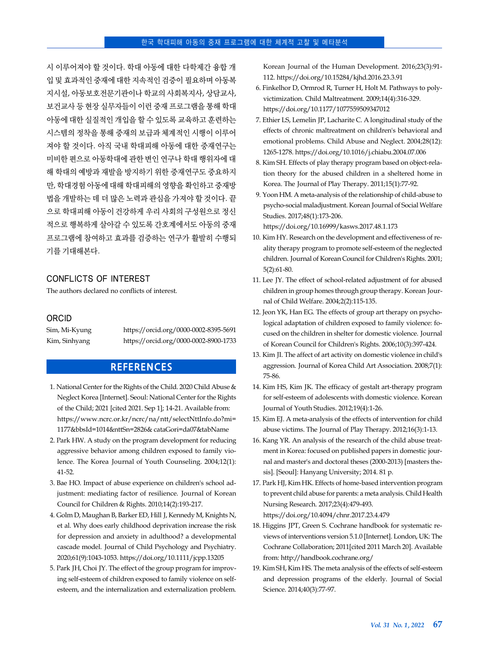시 이루어져야 할 것이다. 학대 아동에 대한 다학제간 융합 개 입 및 효과적인 중재에 대한 지속적인 검증이 필요하며 아동복 지시설, 아동보호전문기관이나 학교의 사회복지사, 상담교사, 보건교사 등 현장 실무자들이 이런 중재 프로그램을 통해 학대 아동에 대한 실질적인 개입을 할 수 있도록 교육하고 훈련하는 시스템의 정착을 통해 중재의 보급과 체계적인 시행이 이루어 져야 할 것이다. 아직 국내 학대피해 아동에 대한 중재연구는 미비한 편으로 아동학대에 관한 변인 연구나 학대 행위자에 대 해 학대의 예방과 재발을 방지하기 위한 중재연구도 중요하지 만, 학대경험 아동에 대해 학대피해의 영향을 확인하고 중재방 법을 개발하는 데 더 많은 노력과 관심을 가져야 할 것이다. 끝 으로 학대피해 아동이 건강하게 우리 사회의 구성원으로 정신 적으로 행복하게 살아갈 수 있도록 간호계에서도 아동의 중재 프로그램에 참여하고 효과를 검증하는 연구가 활발히 수행되 기를 기대해본다.

#### CONFLICTS OF INTEREST

The authors declared no conflicts of interest.

#### ORCID

Sim, Mi-Kyung https://orcid.org/0000-0002-8395-5691 Kim, Sinhyang https://orcid.org/0000-0002-8900-1733

## **REFERENCES**

- 1. National Center for the Rights of the Child. 2020 Child Abuse & Neglect Korea [Internet]. Seoul: National Center for the Rights of the Child; 2021 [cited 2021. Sep 1]; 14-21. Available from: [https://www.ncrc.or.kr/ncrc/na/ntt/selectNttInfo.do?mi=](https://www.ncrc.or.kr/ncrc/na/ntt/selectNttInfo.do?mi=1177&bbsId=1014&nttSn=2826& cataGori=da07&tabName) 1177&bbsId=1014&nttSn=2826& cataGori=da07&tabName
- 2. Park HW. A study on the program development for reducing aggressive behavior among children exposed to family violence. The Korea Journal of Youth Counseling. 2004;12(1): 41-52.
- 3. Bae HO. Impact of abuse experience on children's school adjustment: mediating factor of resilience. Journal of Korean Council for Children & Rights. 2010;14(2):193-217.
- 4. Golm D, Maughan B, Barker ED, Hill J, Kennedy M, Knights N, et al. Why does early childhood deprivation increase the risk for depression and anxiety in adulthood? a developmental cascade model. Journal of Child Psychology and Psychiatry. 2020;61(9):1043-1053. https://doi.org/10.1111/jcpp.13205
- 5. Park JH, Choi JY. The effect of the group program for improving self-esteem of children exposed to family violence on selfesteem, and the internalization and externalization problem.

Korean Journal of the Human Development. 2016;23(3):91- 112. https://doi.org/10.15284/kjhd.2016.23.3.91

- 6. Finkelhor D, Ormrod R, Turner H, Holt M. Pathways to polyvictimization. Child Maltreatment. 2009;14(4):316-329. https://doi.org/10.1177/1077559509347012
- 7. Ethier LS, Lemelin JP, Lacharite C. A longitudinal study of the effects of chronic maltreatment on children's behavioral and emotional problems. Child Abuse and Neglect. 2004;28(12): 1265-1278. https://doi.org/10.1016/j.chiabu.2004.07.006
- 8. Kim SH. Effects of play therapy program based on object-relation theory for the abused children in a sheltered home in Korea. The Journal of Play Therapy. 2011;15(1):77-92.
- 9. Yoon HM. A meta-analysis of the relationship of child-abuse to psycho-social maladjustment. Korean Journal of Social Welfare Studies. 2017;48(1):173-206.

https://doi.org/10.16999/kasws.2017.48.1.173

- 10. Kim HY. Research on the development and effectiveness of reality therapy program to promote self-esteem of the neglected children. Journal of Korean Council for Children's Rights. 2001; 5(2):61-80.
- 11. Lee JY. The effect of school-related adjustment of for abused children in group homes through group therapy. Korean Journal of Child Welfare. 2004;2(2):115-135.
- 12. Jeon YK, Han EG. The effects of group art therapy on psychological adaptation of children exposed to family violence: focused on the children in shelter for domestic violence. Journal of Korean Council for Children's Rights. 2006;10(3):397-424.
- 13. Kim JI. The affect of art activity on domestic violence in child's aggression. Journal of Korea Child Art Association. 2008;7(1): 75-86.
- 14. Kim HS, Kim JK. The efficacy of gestalt art-therapy program for self-esteem of adolescents with domestic violence. Korean Journal of Youth Studies. 2012;19(4):1-26.
- 15. Kim EJ. A meta-analysis of the effects of intervention for child abuse victims. The Journal of Play Therapy. 2012;16(3):1-13.
- 16. Kang YR. An analysis of the research of the child abuse treatment in Korea: focused on published papers in domestic journal and master's and doctoral theses (2000-2013) [masters thesis]. [Seoul]: Hanyang University; 2014. 81 p.
- 17. Park HJ, Kim HK. Effects of home-based intervention program to prevent child abuse for parents: a meta analysis. Child Health Nursing Research. 2017;23(4):479-493. https://doi.org/10.4094/chnr.2017.23.4.479
- 18. Higgins JPT, Green S. Cochrane handbook for systematic reviews of interventions version 5.1.0 [Internet]. London, UK: The Cochrane Collaboration; 2011[cited 2011 March 20]. Available from: http://handbook.cochrane.org/
- 19. Kim SH, Kim HS. The meta analysis of the effects of self-esteem and depression programs of the elderly. Journal of Social Science. 2014;40(3):77-97.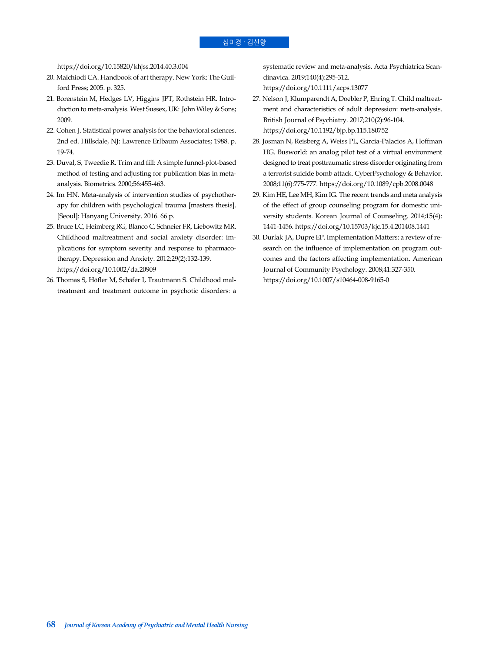https://doi.org/10.15820/khjss.2014.40.3.004

- 20. Malchiodi CA. Handbook of art therapy. New York: The Guilford Press; 2005. p. 325.
- 21. Borenstein M, Hedges LV, Higgins JPT, Rothstein HR. Introduction to meta-analysis. West Sussex, UK: John Wiley & Sons; 2009.
- 22. Cohen J. Statistical power analysis for the behavioral sciences. 2nd ed. Hillsdale, NJ: Lawrence Erlbaum Associates; 1988. p. 19-74.
- 23. Duval, S, Tweedie R. Trim and fill: A simple funnel-plot-based method of testing and adjusting for publication bias in metaanalysis. Biometrics. 2000;56:455-463.
- 24. Im HN. Meta-analysis of intervention studies of psychotherapy for children with psychological trauma [masters thesis]. [Seoul]: Hanyang University. 2016. 66 p.
- 25. Bruce LC, Heimberg RG, Blanco C, Schneier FR, Liebowitz MR. Childhood maltreatment and social anxiety disorder: implications for symptom severity and response to pharmacotherapy. Depression and Anxiety. 2012;29(2):132-139. https://doi.org/10.1002/da.20909
- 26. Thomas S, Hӧfler M, Schӓfer I, Trautmann S. Childhood maltreatment and treatment outcome in psychotic disorders: a

systematic review and meta-analysis. Acta Psychiatrica Scandinavica. 2019;140(4):295-312.

https://doi.org/10.1111/acps.13077

- 27. Nelson J, Klumparendt A, Doebler P, Ehring T. Child maltreatment and characteristics of adult depression: meta-analysis. British Journal of Psychiatry. 2017;210(2):96-104. https://doi.org/10.1192/bjp.bp.115.180752
- 28. Josman N, Reisberg A, Weiss PL, Garcia-Palacios A, Hoffman HG. Busworld: an analog pilot test of a virtual environment designed to treat posttraumatic stress disorder originating from a terrorist suicide bomb attack. CyberPsychology & Behavior. 2008;11(6):775-777. https://doi.org/10.1089/cpb.2008.0048
- 29. Kim HE, Lee MH, Kim IG. The recent trends and meta analysis of the effect of group counseling program for domestic university students. Korean Journal of Counseling. 2014;15(4): 1441-1456. https://doi.org/10.15703/kjc.15.4.201408.1441
- 30. Durlak JA, Dupre EP. Implementation Matters: a review of research on the influence of implementation on program outcomes and the factors affecting implementation. American Journal of Community Psychology. 2008;41:327-350. https://doi.org/10.1007/s10464-008-9165-0